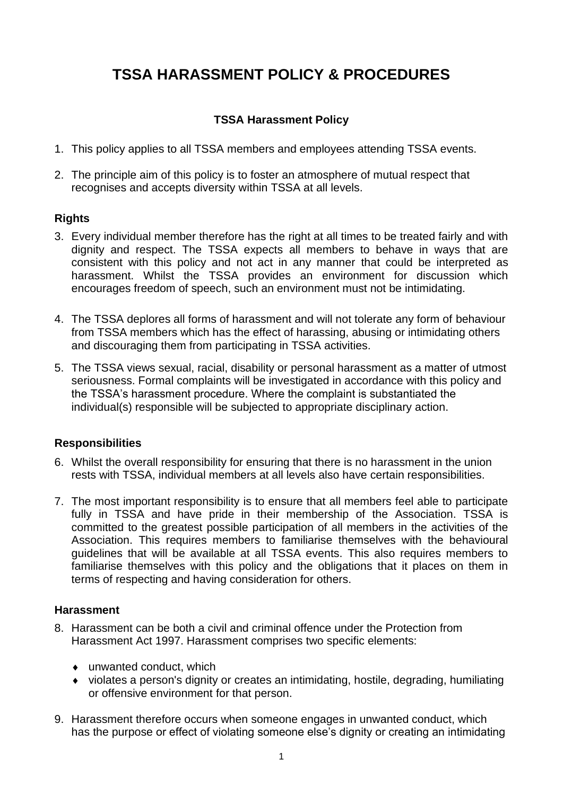# **TSSA HARASSMENT POLICY & PROCEDURES**

## **TSSA Harassment Policy**

- 1. This policy applies to all TSSA members and employees attending TSSA events.
- 2. The principle aim of this policy is to foster an atmosphere of mutual respect that recognises and accepts diversity within TSSA at all levels.

## **Rights**

- 3. Every individual member therefore has the right at all times to be treated fairly and with dignity and respect. The TSSA expects all members to behave in ways that are consistent with this policy and not act in any manner that could be interpreted as harassment. Whilst the TSSA provides an environment for discussion which encourages freedom of speech, such an environment must not be intimidating.
- 4. The TSSA deplores all forms of harassment and will not tolerate any form of behaviour from TSSA members which has the effect of harassing, abusing or intimidating others and discouraging them from participating in TSSA activities.
- 5. The TSSA views sexual, racial, disability or personal harassment as a matter of utmost seriousness. Formal complaints will be investigated in accordance with this policy and the TSSA's harassment procedure. Where the complaint is substantiated the individual(s) responsible will be subjected to appropriate disciplinary action.

## **Responsibilities**

- 6. Whilst the overall responsibility for ensuring that there is no harassment in the union rests with TSSA, individual members at all levels also have certain responsibilities.
- 7. The most important responsibility is to ensure that all members feel able to participate fully in TSSA and have pride in their membership of the Association. TSSA is committed to the greatest possible participation of all members in the activities of the Association. This requires members to familiarise themselves with the behavioural guidelines that will be available at all TSSA events. This also requires members to familiarise themselves with this policy and the obligations that it places on them in terms of respecting and having consideration for others.

#### **Harassment**

- 8. Harassment can be both a civil and criminal offence under the Protection from Harassment Act 1997. Harassment comprises two specific elements:
	- unwanted conduct, which
	- violates a person's dignity or creates an intimidating, hostile, degrading, humiliating or offensive environment for that person.
- 9. Harassment therefore occurs when someone engages in unwanted conduct, which has the purpose or effect of violating someone else's dignity or creating an intimidating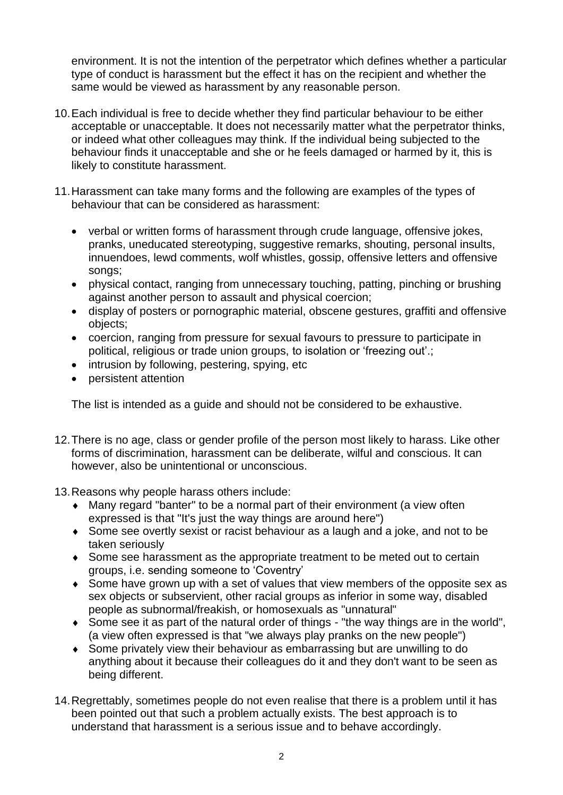environment. It is not the intention of the perpetrator which defines whether a particular type of conduct is harassment but the effect it has on the recipient and whether the same would be viewed as harassment by any reasonable person.

- 10.Each individual is free to decide whether they find particular behaviour to be either acceptable or unacceptable. It does not necessarily matter what the perpetrator thinks, or indeed what other colleagues may think. If the individual being subjected to the behaviour finds it unacceptable and she or he feels damaged or harmed by it, this is likely to constitute harassment.
- 11.Harassment can take many forms and the following are examples of the types of behaviour that can be considered as harassment:
	- verbal or written forms of harassment through crude language, offensive jokes, pranks, uneducated stereotyping, suggestive remarks, shouting, personal insults, innuendoes, lewd comments, wolf whistles, gossip, offensive letters and offensive songs;
	- physical contact, ranging from unnecessary touching, patting, pinching or brushing against another person to assault and physical coercion;
	- display of posters or pornographic material, obscene gestures, graffiti and offensive objects;
	- coercion, ranging from pressure for sexual favours to pressure to participate in political, religious or trade union groups, to isolation or 'freezing out'.;
	- intrusion by following, pestering, spying, etc
	- persistent attention

The list is intended as a guide and should not be considered to be exhaustive.

- 12.There is no age, class or gender profile of the person most likely to harass. Like other forms of discrimination, harassment can be deliberate, wilful and conscious. It can however, also be unintentional or unconscious.
- 13.Reasons why people harass others include:
	- Many regard "banter" to be a normal part of their environment (a view often expressed is that "It's just the way things are around here")
	- Some see overtly sexist or racist behaviour as a laugh and a joke, and not to be taken seriously
	- Some see harassment as the appropriate treatment to be meted out to certain groups, i.e. sending someone to 'Coventry'
	- Some have grown up with a set of values that view members of the opposite sex as sex objects or subservient, other racial groups as inferior in some way, disabled people as subnormal/freakish, or homosexuals as "unnatural"
	- Some see it as part of the natural order of things "the way things are in the world", (a view often expressed is that "we always play pranks on the new people")
	- Some privately view their behaviour as embarrassing but are unwilling to do anything about it because their colleagues do it and they don't want to be seen as being different.
- 14.Regrettably, sometimes people do not even realise that there is a problem until it has been pointed out that such a problem actually exists. The best approach is to understand that harassment is a serious issue and to behave accordingly.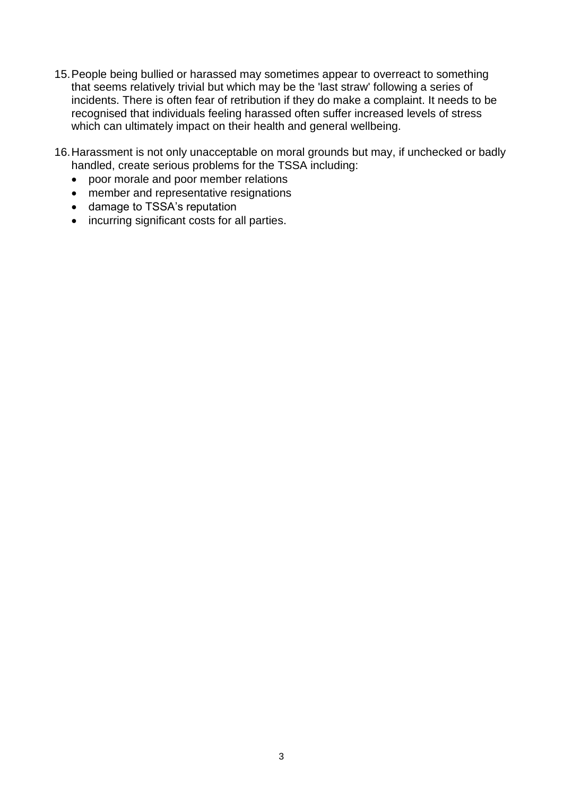- 15.People being bullied or harassed may sometimes appear to overreact to something that seems relatively trivial but which may be the 'last straw' following a series of incidents. There is often fear of retribution if they do make a complaint. It needs to be recognised that individuals feeling harassed often suffer increased levels of stress which can ultimately impact on their health and general wellbeing.
- 16.Harassment is not only unacceptable on moral grounds but may, if unchecked or badly handled, create serious problems for the TSSA including:
	- poor morale and poor member relations
	- member and representative resignations
	- damage to TSSA's reputation
	- incurring significant costs for all parties.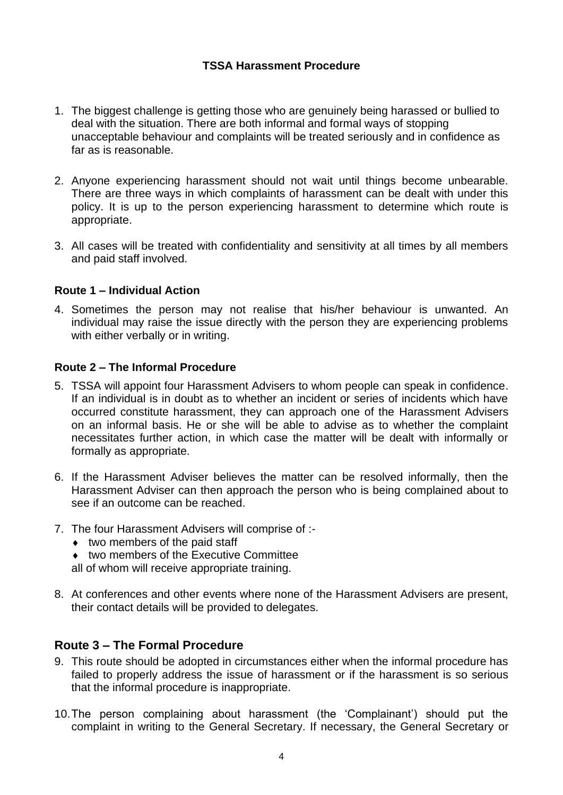## **TSSA Harassment Procedure**

- 1. The biggest challenge is getting those who are genuinely being harassed or bullied to deal with the situation. There are both informal and formal ways of stopping unacceptable behaviour and complaints will be treated seriously and in confidence as far as is reasonable.
- 2. Anyone experiencing harassment should not wait until things become unbearable. There are three ways in which complaints of harassment can be dealt with under this policy. It is up to the person experiencing harassment to determine which route is appropriate.
- 3. All cases will be treated with confidentiality and sensitivity at all times by all members and paid staff involved.

#### **Route 1 – Individual Action**

4. Sometimes the person may not realise that his/her behaviour is unwanted. An individual may raise the issue directly with the person they are experiencing problems with either verbally or in writing.

### **Route 2 – The Informal Procedure**

- 5. TSSA will appoint four Harassment Advisers to whom people can speak in confidence. If an individual is in doubt as to whether an incident or series of incidents which have occurred constitute harassment, they can approach one of the Harassment Advisers on an informal basis. He or she will be able to advise as to whether the complaint necessitates further action, in which case the matter will be dealt with informally or formally as appropriate.
- 6. If the Harassment Adviser believes the matter can be resolved informally, then the Harassment Adviser can then approach the person who is being complained about to see if an outcome can be reached.
- 7. The four Harassment Advisers will comprise of :-
	- two members of the paid staff
	- $\bullet$  two members of the Executive Committee

all of whom will receive appropriate training.

8. At conferences and other events where none of the Harassment Advisers are present, their contact details will be provided to delegates.

## **Route 3 – The Formal Procedure**

- 9. This route should be adopted in circumstances either when the informal procedure has failed to properly address the issue of harassment or if the harassment is so serious that the informal procedure is inappropriate.
- 10.The person complaining about harassment (the 'Complainant') should put the complaint in writing to the General Secretary. If necessary, the General Secretary or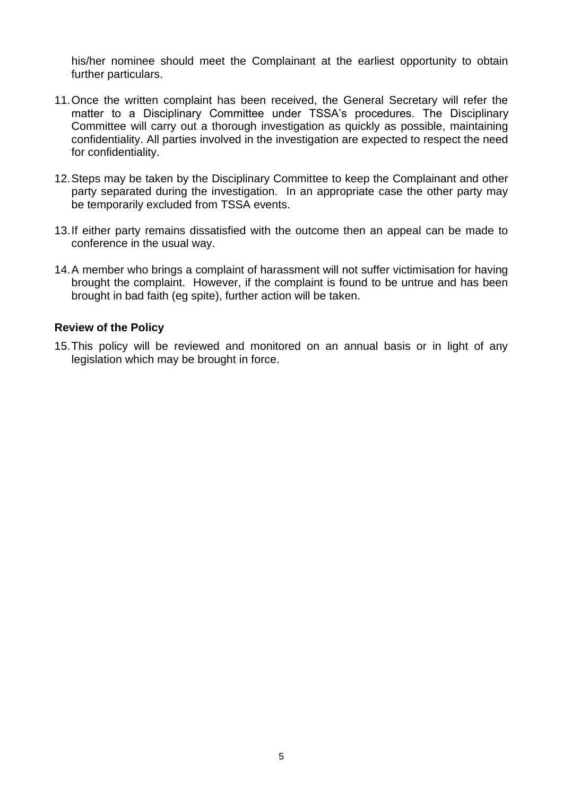his/her nominee should meet the Complainant at the earliest opportunity to obtain further particulars.

- 11.Once the written complaint has been received, the General Secretary will refer the matter to a Disciplinary Committee under TSSA's procedures. The Disciplinary Committee will carry out a thorough investigation as quickly as possible, maintaining confidentiality. All parties involved in the investigation are expected to respect the need for confidentiality.
- 12.Steps may be taken by the Disciplinary Committee to keep the Complainant and other party separated during the investigation. In an appropriate case the other party may be temporarily excluded from TSSA events.
- 13.If either party remains dissatisfied with the outcome then an appeal can be made to conference in the usual way.
- 14.A member who brings a complaint of harassment will not suffer victimisation for having brought the complaint. However, if the complaint is found to be untrue and has been brought in bad faith (eg spite), further action will be taken.

#### **Review of the Policy**

15.This policy will be reviewed and monitored on an annual basis or in light of any legislation which may be brought in force.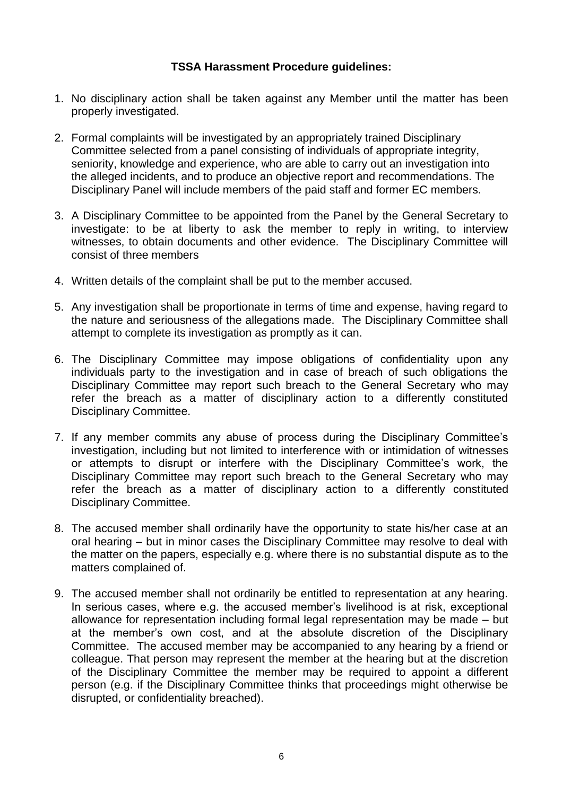### **TSSA Harassment Procedure guidelines:**

- 1. No disciplinary action shall be taken against any Member until the matter has been properly investigated.
- 2. Formal complaints will be investigated by an appropriately trained Disciplinary Committee selected from a panel consisting of individuals of appropriate integrity, seniority, knowledge and experience, who are able to carry out an investigation into the alleged incidents, and to produce an objective report and recommendations. The Disciplinary Panel will include members of the paid staff and former EC members.
- 3. A Disciplinary Committee to be appointed from the Panel by the General Secretary to investigate: to be at liberty to ask the member to reply in writing, to interview witnesses, to obtain documents and other evidence. The Disciplinary Committee will consist of three members
- 4. Written details of the complaint shall be put to the member accused.
- 5. Any investigation shall be proportionate in terms of time and expense, having regard to the nature and seriousness of the allegations made. The Disciplinary Committee shall attempt to complete its investigation as promptly as it can.
- 6. The Disciplinary Committee may impose obligations of confidentiality upon any individuals party to the investigation and in case of breach of such obligations the Disciplinary Committee may report such breach to the General Secretary who may refer the breach as a matter of disciplinary action to a differently constituted Disciplinary Committee.
- 7. If any member commits any abuse of process during the Disciplinary Committee's investigation, including but not limited to interference with or intimidation of witnesses or attempts to disrupt or interfere with the Disciplinary Committee's work, the Disciplinary Committee may report such breach to the General Secretary who may refer the breach as a matter of disciplinary action to a differently constituted Disciplinary Committee.
- 8. The accused member shall ordinarily have the opportunity to state his/her case at an oral hearing – but in minor cases the Disciplinary Committee may resolve to deal with the matter on the papers, especially e.g. where there is no substantial dispute as to the matters complained of.
- 9. The accused member shall not ordinarily be entitled to representation at any hearing. In serious cases, where e.g. the accused member's livelihood is at risk, exceptional allowance for representation including formal legal representation may be made – but at the member's own cost, and at the absolute discretion of the Disciplinary Committee. The accused member may be accompanied to any hearing by a friend or colleague. That person may represent the member at the hearing but at the discretion of the Disciplinary Committee the member may be required to appoint a different person (e.g. if the Disciplinary Committee thinks that proceedings might otherwise be disrupted, or confidentiality breached).